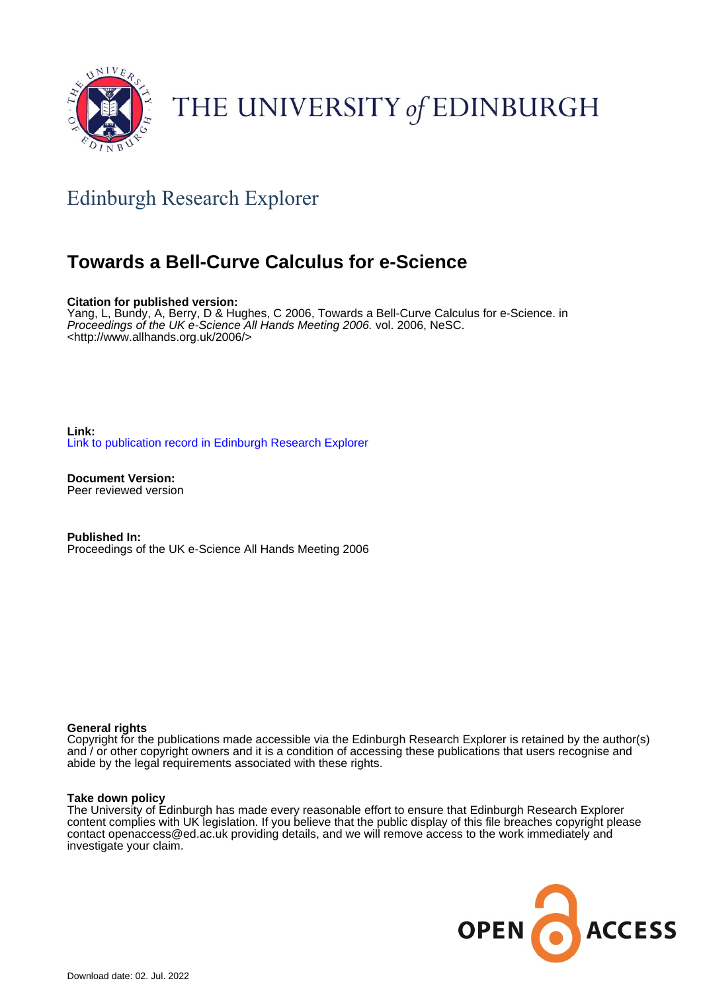

# THE UNIVERSITY of EDINBURGH

## Edinburgh Research Explorer

### **Towards a Bell-Curve Calculus for e-Science**

**Citation for published version:**

Yang, L, Bundy, A, Berry, D & Hughes, C 2006, Towards a Bell-Curve Calculus for e-Science. in Proceedings of the UK e-Science All Hands Meeting 2006. vol. 2006, NeSC. <[http://www.allhands.org.uk/2006/>](http://www.allhands.org.uk/2006/)

**Link:** [Link to publication record in Edinburgh Research Explorer](https://www.research.ed.ac.uk/en/publications/cd8719ae-a8a9-4e17-96d5-23ab01c3dbd1)

**Document Version:** Peer reviewed version

**Published In:** Proceedings of the UK e-Science All Hands Meeting 2006

#### **General rights**

Copyright for the publications made accessible via the Edinburgh Research Explorer is retained by the author(s) and / or other copyright owners and it is a condition of accessing these publications that users recognise and abide by the legal requirements associated with these rights.

#### **Take down policy**

The University of Edinburgh has made every reasonable effort to ensure that Edinburgh Research Explorer content complies with UK legislation. If you believe that the public display of this file breaches copyright please contact openaccess@ed.ac.uk providing details, and we will remove access to the work immediately and investigate your claim.

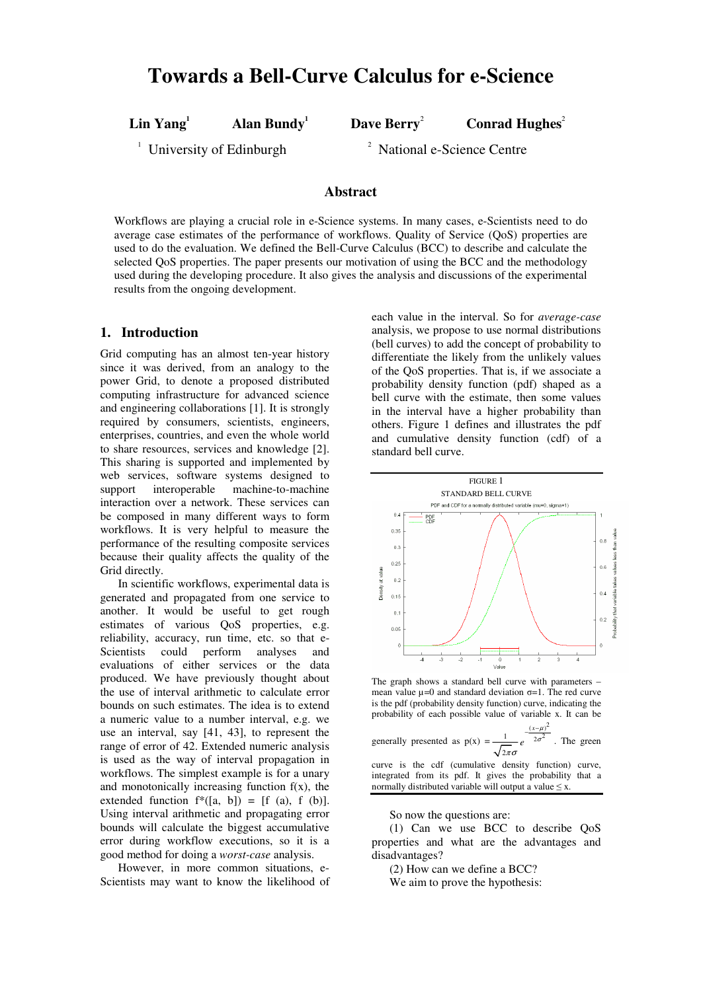**Lin Yang**

**<sup>1</sup> Dave Berry**

<sup>2</sup> **Conrad Hughes**<sup>2</sup>

 $1$  University of Edinburgh

**<sup>1</sup> Alan Bundy**

<sup>2</sup> National e-Science Centre

#### **Abstract**

Workflows are playing a crucial role in e-Science systems. In many cases, e-Scientists need to do average case estimates of the performance of workflows. Quality of Service (QoS) properties are used to do the evaluation. We defined the Bell-Curve Calculus (BCC) to describe and calculate the selected QoS properties. The paper presents our motivation of using the BCC and the methodology used during the developing procedure. It also gives the analysis and discussions of the experimental results from the ongoing development.

#### **1. Introduction**

Grid computing has an almost ten-year history since it was derived, from an analogy to the power Grid, to denote a proposed distributed computing infrastructure for advanced science and engineering collaborations [1]. It is strongly required by consumers, scientists, engineers, enterprises, countries, and even the whole world to share resources, services and knowledge [2]. This sharing is supported and implemented by web services, software systems designed to support interoperable machine-to-machine interaction over a network. These services can be composed in many different ways to form workflows. It is very helpful to measure the performance of the resulting composite services because their quality affects the quality of the Grid directly.

In scientific workflows, experimental data is generated and propagated from one service to another. It would be useful to get rough estimates of various QoS properties, e.g. reliability, accuracy, run time, etc. so that e-Scientists could perform analyses and evaluations of either services or the data produced. We have previously thought about the use of interval arithmetic to calculate error bounds on such estimates. The idea is to extend a numeric value to a number interval, e.g. we use an interval, say [41, 43], to represent the range of error of 42. Extended numeric analysis is used as the way of interval propagation in workflows. The simplest example is for a unary and monotonically increasing function  $f(x)$ , the extended function  $f^*([a, b]) = [f (a), f (b)].$ Using interval arithmetic and propagating error bounds will calculate the biggest accumulative error during workflow executions, so it is a good method for doing a *worst-case* analysis.

However, in more common situations, e-Scientists may want to know the likelihood of each value in the interval. So for *average-case* analysis, we propose to use normal distributions (bell curves) to add the concept of probability to differentiate the likely from the unlikely values of the QoS properties. That is, if we associate a probability density function (pdf) shaped as a bell curve with the estimate, then some values in the interval have a higher probability than others. Figure 1 defines and illustrates the pdf and cumulative density function (cdf) of a standard bell curve.



The graph shows a standard bell curve with parameters – mean value  $\mu$ =0 and standard deviation  $\sigma$ =1. The red curve is the pdf (probability density function) curve, indicating the probability of each possible value of variable x. It can be

generally presented as  $p(x)$  $-\frac{(x-\mu)^2}{2}$ 2 2 σ 1  $2\pi\sigma$ *e* . The green curve is the cdf (cumulative density function) curve,

integrated from its pdf. It gives the probability that a normally distributed variable will output a value  $\leq x$ .

So now the questions are:

(1) Can we use BCC to describe QoS properties and what are the advantages and disadvantages?

(2) How can we define a BCC?

We aim to prove the hypothesis: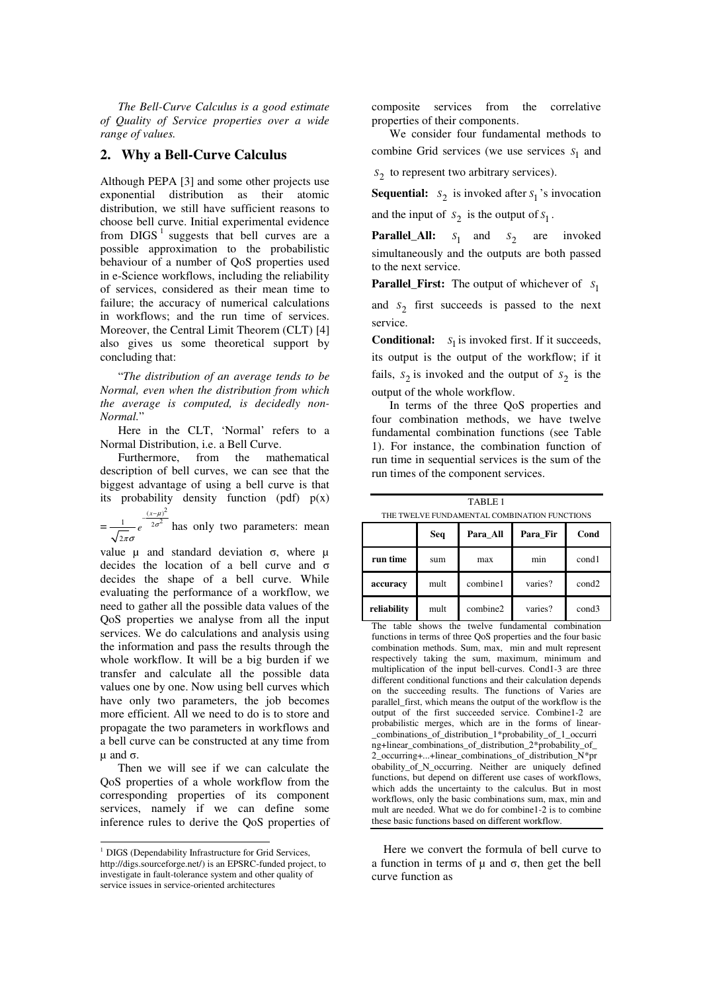*The Bell-Curve Calculus is a good estimate of Quality of Service properties over a wide range of values.*

#### **2. Why a Bell-Curve Calculus**

Although PEPA [3] and some other projects use exponential distribution as their atomic distribution, we still have sufficient reasons to choose bell curve. Initial experimental evidence from  $DIGS<sup>1</sup>$  suggests that bell curves are a possible approximation to the probabilistic behaviour of a number of QoS properties used in e-Science workflows, including the reliability of services, considered as their mean time to failure; the accuracy of numerical calculations in workflows; and the run time of services. Moreover, the Central Limit Theorem (CLT) [4] also gives us some theoretical support by concluding that:

"*The distribution of an average tends to be Normal, even when the distribution from which the average is computed, is decidedly non-Normal.*"

Here in the CLT, 'Normal' refers to a Normal Distribution, i.e. a Bell Curve.

Furthermore, from the mathematical description of bell curves, we can see that the biggest advantage of using a bell curve is that its probability density function (pdf)  $p(x)$ 

=  $\frac{(x-\mu)^2}{2\sigma^2}$ 2 *x e* µ σ πσ  $\frac{(x-\mu)^2}{2\sigma^2}$  has only two parameters: mean

value  $\mu$  and standard deviation  $\sigma$ , where  $\mu$ decides the location of a bell curve and  $\sigma$ decides the shape of a bell curve. While evaluating the performance of a workflow, we need to gather all the possible data values of the QoS properties we analyse from all the input services. We do calculations and analysis using the information and pass the results through the whole workflow. It will be a big burden if we transfer and calculate all the possible data values one by one. Now using bell curves which have only two parameters, the job becomes more efficient. All we need to do is to store and propagate the two parameters in workflows and a bell curve can be constructed at any time from  $\mu$  and  $\sigma$ .

Then we will see if we can calculate the QoS properties of a whole workflow from the corresponding properties of its component services, namely if we can define some inference rules to derive the QoS properties of composite services from the correlative properties of their components.

We consider four fundamental methods to combine Grid services (we use services  $s_1$  and

2 *S* to represent two arbitrary services).

to the next service.

**Sequential:**  $s_2$  is invoked after  $s_1$ 's invocation and the input of  $S_2$  is the output of  $S_1$ .

**Parallel\_All:**  $s_1$  and  $s_2$  are invoked simultaneously and the outputs are both passed

**Parallel\_First:** The output of whichever of  $s_1$ 

and  $S_2$  first succeeds is passed to the next service.

**Conditional:**  $S_1$  is invoked first. If it succeeds, its output is the output of the workflow; if it fails,  $s_2$  is invoked and the output of  $s_2$  is the output of the whole workflow.

In terms of the three QoS properties and four combination methods, we have twelve fundamental combination functions (see Table 1). For instance, the combination function of run time in sequential services is the sum of the run times of the component services.

TABLE 1 THE TWELVE FUNDAMENTAL COMBINATION FUNCTIONS

|             | Seq  | Para All | Para Fir | Cond              |
|-------------|------|----------|----------|-------------------|
| run time    | sum  | max      | min      | cond1             |
| accuracy    | mult | combine1 | varies?  | cond <sub>2</sub> |
| reliability | mult | combine2 | varies?  | cond3             |

The table shows the twelve fundamental combination functions in terms of three QoS properties and the four basic combination methods. Sum, max, min and mult represent respectively taking the sum, maximum, minimum and multiplication of the input bell-curves. Cond1-3 are three different conditional functions and their calculation depends on the succeeding results. The functions of Varies are parallel\_first, which means the output of the workflow is the output of the first succeeded service. Combine1-2 are probabilistic merges, which are in the forms of linear- \_combinations\_of\_distribution\_1\*probability\_of\_1\_occurri ng+linear\_combinations\_of\_distribution\_2\*probability\_of\_ 2\_occurring+...+linear\_combinations\_of\_distribution\_N\*pr obability\_of\_N\_occurring. Neither are uniquely defined functions, but depend on different use cases of workflows, which adds the uncertainty to the calculus. But in most workflows, only the basic combinations sum, max, min and mult are needed. What we do for combine1-2 is to combine these basic functions based on different workflow.

Here we convert the formula of bell curve to a function in terms of  $\mu$  and  $\sigma$ , then get the bell curve function as

<sup>&</sup>lt;sup>1</sup> DIGS (Dependability Infrastructure for Grid Services, http://digs.sourceforge.net/) is an EPSRC-funded project, to investigate in fault-tolerance system and other quality of service issues in service-oriented architectures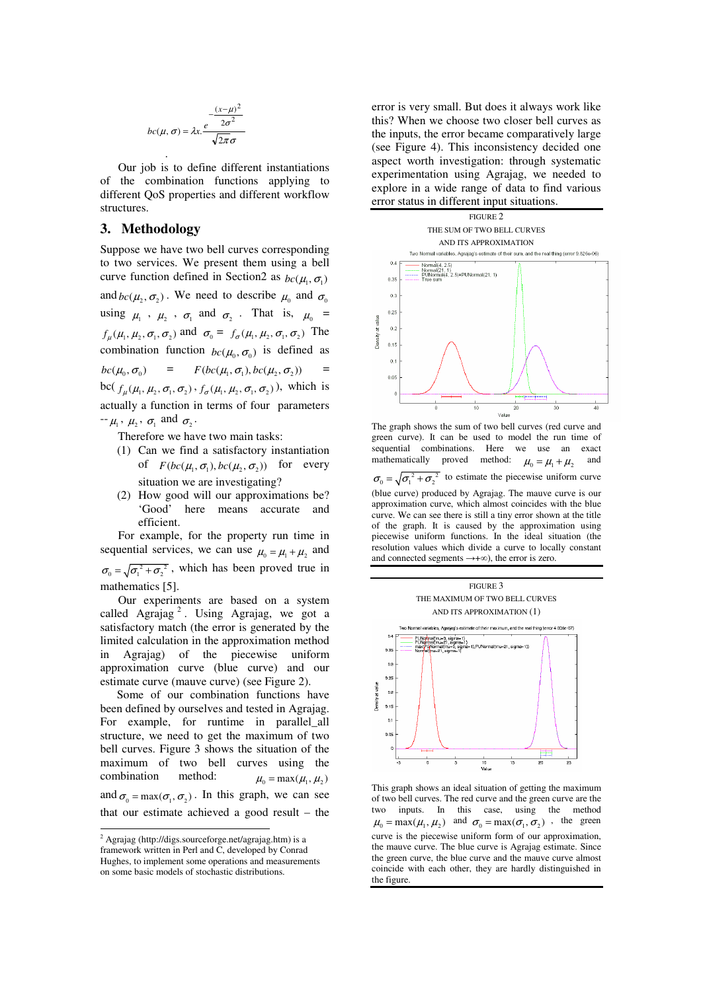$$
bc(\mu, \sigma) = \lambda x \cdot \frac{e^{-\frac{(x-\mu)^2}{2\sigma^2}}}{\sqrt{2\pi}\sigma}
$$

Our job is to define different instantiations of the combination functions applying to different QoS properties and different workflow structures.

#### **3. Methodology**

Suppose we have two bell curves corresponding to two services. We present them using a bell curve function defined in Section2 as  $bc(\mu_1, \sigma_1)$ and  $bc(\mu_2, \sigma_2)$ . We need to describe  $\mu_0$  and  $\sigma_0$ using  $\mu_1$ ,  $\mu_2$ ,  $\sigma_1$  and  $\sigma_2$ . That is,  $\mu_0$  =  $f_{\mu}(\mu_1, \mu_2, \sigma_1, \sigma_2)$  and  $\sigma_0 = f_{\sigma}(\mu_1, \mu_2, \sigma_1, \sigma_2)$  The combination function  $bc(\mu_0, \sigma_0)$  is defined as  $bc(\mu_0, \sigma_0)$  =  $F(bc(\mu_1, \sigma_1), bc(\mu_2, \sigma_2))$ bc( $f_\mu(\mu_1, \mu_2, \sigma_1, \sigma_2)$ ,  $f_\sigma(\mu_1, \mu_2, \sigma_1, \sigma_2)$ ), which is actually a function in terms of four parameters  $-\mu_1$ ,  $\mu_2$ ,  $\sigma_1$  and  $\sigma_2$ .

Therefore we have two main tasks:

- (1) Can we find a satisfactory instantiation of  $F(bc(\mu_1, \sigma_1), bc(\mu_2, \sigma_2))$  for every situation we are investigating?
- (2) How good will our approximations be? 'Good' here means accurate and efficient.

For example, for the property run time in sequential services, we can use  $\mu_0 = \mu_1 + \mu_2$  and  $\sigma_0 = \sqrt{\sigma_1^2 + \sigma_2^2}$ , which has been proved true in mathematics [5].

Our experiments are based on a system called Agrajag<sup>2</sup>. Using Agrajag, we got a satisfactory match (the error is generated by the limited calculation in the approximation method in Agrajag) of the piecewise uniform approximation curve (blue curve) and our estimate curve (mauve curve) (see Figure 2).

Some of our combination functions have been defined by ourselves and tested in Agrajag. For example, for runtime in parallel all structure, we need to get the maximum of two bell curves. Figure 3 shows the situation of the maximum of two bell curves using the combination method:  $\mu_0 = \max(\mu_1, \mu_2)$ and  $\sigma_0 = \max(\sigma_1, \sigma_2)$ . In this graph, we can see that our estimate achieved a good result – the error is very small. But does it always work like this? When we choose two closer bell curves as the inputs, the error became comparatively large (see Figure 4). This inconsistency decided one aspect worth investigation: through systematic experimentation using Agrajag, we needed to explore in a wide range of data to find various error status in different input situations.



The graph shows the sum of two bell curves (red curve and green curve). It can be used to model the run time of sequential combinations. Here we use an exact mathematically proved method:  $\mu_0 = \mu_1 + \mu_2$ and  $\sigma_0 = \sqrt{\sigma_1^2 + \sigma_2^2}$  to estimate the piecewise uniform curve (blue curve) produced by Agrajag. The mauve curve is our approximation curve, which almost coincides with the blue curve. We can see there is still a tiny error shown at the title of the graph. It is caused by the approximation using piecewise uniform functions. In the ideal situation (the resolution values which divide a curve to locally constant and connected segments  $\rightarrow +\infty$ ), the error is zero.



This graph shows an ideal situation of getting the maximum of two bell curves. The red curve and the green curve are the two inputs. In this case, using the method  $\mu_0 = \max(\mu_1, \mu_2)$  and  $\sigma_0 = \max(\sigma_1, \sigma_2)$ , the green curve is the piecewise uniform form of our approximation, the mauve curve. The blue curve is Agrajag estimate. Since the green curve, the blue curve and the mauve curve almost coincide with each other, they are hardly distinguished in the figure.

 $2$  Agrajag (http://digs.sourceforge.net/agrajag.htm) is a framework written in Perl and C, developed by Conrad Hughes, to implement some operations and measurements on some basic models of stochastic distributions.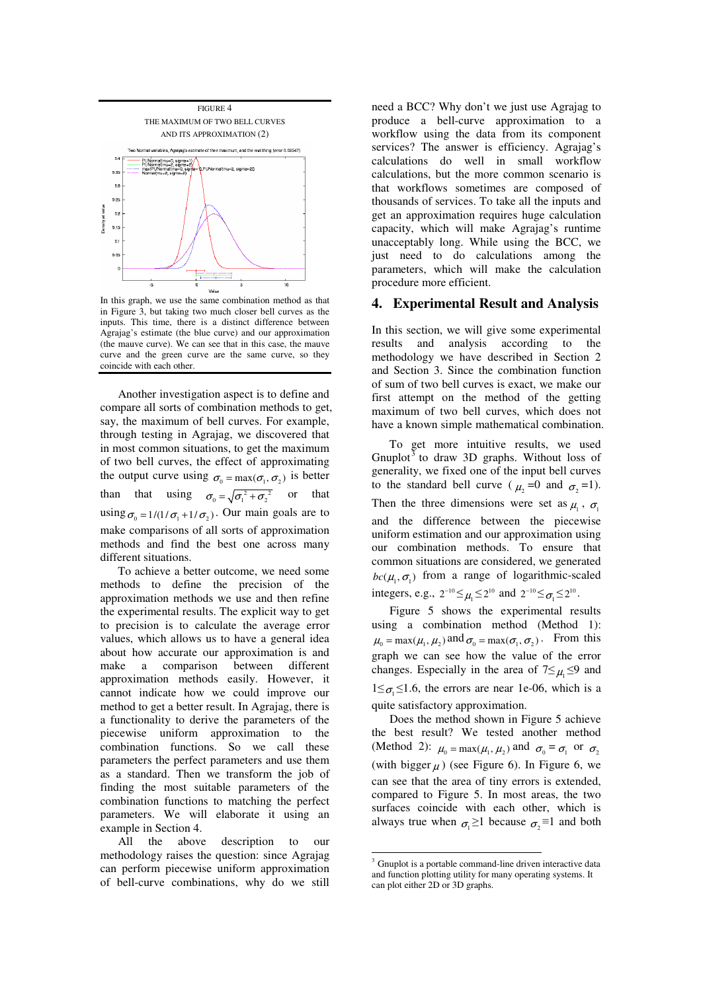

In this graph, we use the same combination method as that in Figure 3, but taking two much closer bell curves as the inputs. This time, there is a distinct difference between Agrajag's estimate (the blue curve) and our approximation (the mauve curve). We can see that in this case, the mauve curve and the green curve are the same curve, so they coincide with each other.

Another investigation aspect is to define and compare all sorts of combination methods to get, say, the maximum of bell curves. For example, through testing in Agrajag, we discovered that in most common situations, to get the maximum of two bell curves, the effect of approximating the output curve using  $\sigma_0 = \max(\sigma_1, \sigma_2)$  is better than that using  $\sigma_0 = \sqrt{{\sigma_1}^2 + {\sigma_2}^2}$  or that using  $\sigma_0 = 1/(1/\sigma_1 + 1/\sigma_2)$ . Our main goals are to make comparisons of all sorts of approximation methods and find the best one across many different situations.

To achieve a better outcome, we need some methods to define the precision of the approximation methods we use and then refine the experimental results. The explicit way to get to precision is to calculate the average error values, which allows us to have a general idea about how accurate our approximation is and make a comparison between different approximation methods easily. However, it cannot indicate how we could improve our method to get a better result. In Agrajag, there is a functionality to derive the parameters of the piecewise uniform approximation to the combination functions. So we call these parameters the perfect parameters and use them as a standard. Then we transform the job of finding the most suitable parameters of the combination functions to matching the perfect parameters. We will elaborate it using an example in Section 4.

All the above description to our methodology raises the question: since Agrajag can perform piecewise uniform approximation of bell-curve combinations, why do we still

need a BCC? Why don't we just use Agrajag to produce a bell-curve approximation to a workflow using the data from its component services? The answer is efficiency. Agrajag's calculations do well in small workflow calculations, but the more common scenario is that workflows sometimes are composed of thousands of services. To take all the inputs and get an approximation requires huge calculation capacity, which will make Agrajag's runtime unacceptably long. While using the BCC, we just need to do calculations among the parameters, which will make the calculation procedure more efficient.

#### **4. Experimental Result and Analysis**

In this section, we will give some experimental results and analysis according to the methodology we have described in Section 2 and Section 3. Since the combination function of sum of two bell curves is exact, we make our first attempt on the method of the getting maximum of two bell curves, which does not have a known simple mathematical combination.

To get more intuitive results, we used Gnuplot<sup>3</sup> to draw 3D graphs. Without loss of generality, we fixed one of the input bell curves to the standard bell curve ( $\mu_2 = 0$  and  $\sigma_2 = 1$ ). Then the three dimensions were set as  $\mu_1$ ,  $\sigma_1$ and the difference between the piecewise uniform estimation and our approximation using our combination methods. To ensure that common situations are considered, we generated  $bc(\mu_1, \sigma_1)$  from a range of logarithmic-scaled integers, e.g.,  $2^{-10} \leq \mu_1 \leq 2^{10}$  and  $2^{-10} \leq \sigma_1 \leq 2^{10}$ .

Figure 5 shows the experimental results using a combination method (Method 1):  $\mu_0 = \max(\mu_1, \mu_2)$  and  $\sigma_0 = \max(\sigma_1, \sigma_2)$ . From this graph we can see how the value of the error changes. Especially in the area of  $7 \leq \mu_1 \leq 9$  and  $1 \leq \sigma_1 \leq 1.6$ , the errors are near 1e-06, which is a quite satisfactory approximation.

Does the method shown in Figure 5 achieve the best result? We tested another method (Method 2):  $\mu_0 = \max(\mu_1, \mu_2)$  and  $\sigma_0 = \sigma_1$  or  $\sigma_2$ (with bigger  $\mu$ ) (see Figure 6). In Figure 6, we can see that the area of tiny errors is extended, compared to Figure 5. In most areas, the two surfaces coincide with each other, which is always true when  $\sigma_1 \geq 1$  because  $\sigma_2 \equiv 1$  and both

<sup>&</sup>lt;sup>3</sup> Gnuplot is a portable command-line driven interactive data and function plotting utility for many operating systems. It can plot either 2D or 3D graphs.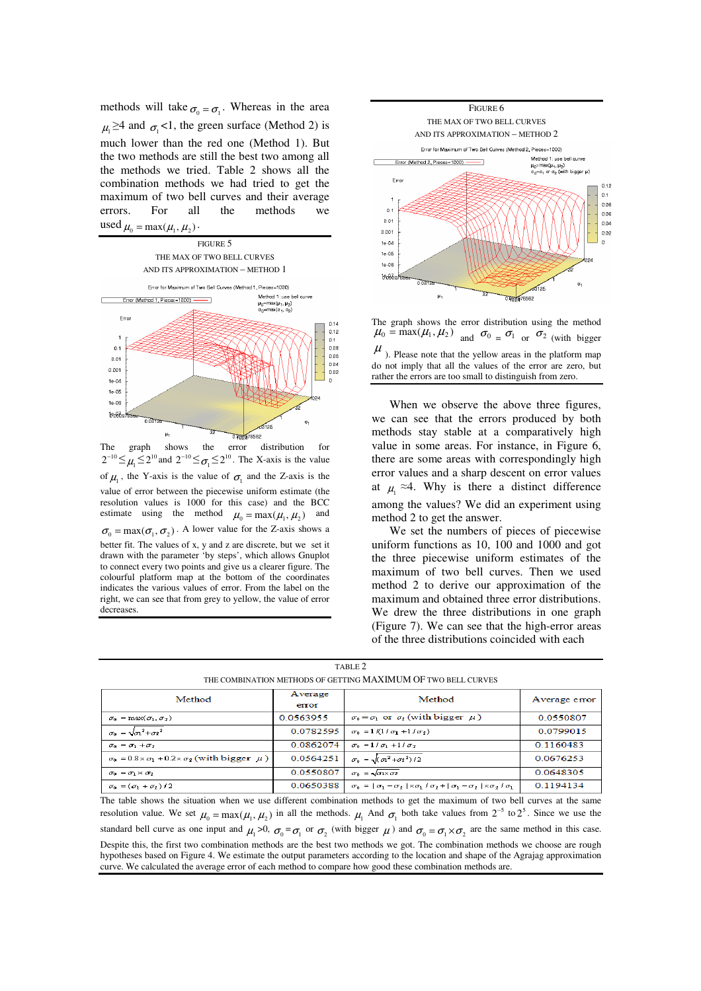methods will take  $\sigma_0 = \sigma_1$ . Whereas in the area  $\mu_1 \geq 4$  and  $\sigma_1 < 1$ , the green surface (Method 2) is much lower than the red one (Method 1). But the two methods are still the best two among all the methods we tried. Table 2 shows all the combination methods we had tried to get the maximum of two bell curves and their average errors. For all the methods we used  $\mu_0 = \max(\mu_1, \mu_2)$ .



 $2^{-10} \leq \mu_1 \leq 2^{10}$  and  $2^{-10} \leq \sigma_1 \leq 2^{10}$ . The X-axis is the value of  $\mu_1$ , the Y-axis is the value of  $\sigma_1$  and the Z-axis is the value of error between the piecewise uniform estimate (the resolution values is 1000 for this case) and the BCC estimate using the method  $\mu_0 = \max(\mu_1, \mu_2)$  and  $\sigma_0 = \max(\sigma_1, \sigma_2)$ . A lower value for the Z-axis shows a better fit. The values of x, y and z are discrete, but we set it drawn with the parameter 'by steps', which allows Gnuplot to connect every two points and give us a clearer figure. The colourful platform map at the bottom of the coordinates indicates the various values of error. From the label on the right, we can see that from grey to yellow, the value of error decreases.



The graph shows the error distribution using the method  $\mu_0 = \max(\mu_1, \mu_2)$  and  $\sigma_0 = \sigma_1$  or  $\sigma_2$  (with bigger  $\mu$ ). Please note that the yellow areas in the platform map do not imply that all the values of the error are zero, but

rather the errors are too small to distinguish from zero.

When we observe the above three figures, we can see that the errors produced by both methods stay stable at a comparatively high value in some areas. For instance, in Figure 6, there are some areas with correspondingly high error values and a sharp descent on error values at  $\mu_1 \approx 4$ . Why is there a distinct difference among the values? We did an experiment using method 2 to get the answer.

We set the numbers of pieces of piecewise uniform functions as 10, 100 and 1000 and got the three piecewise uniform estimates of the maximum of two bell curves. Then we used method 2 to derive our approximation of the maximum and obtained three error distributions. We drew the three distributions in one graph (Figure 7). We can see that the high-error areas of the three distributions coincided with each

| THE CONDINATION METHODS OF VIET HIVE MIZZHVIONI OF TWO DELL CONVES          |                  |                                                                                                                  |               |  |  |
|-----------------------------------------------------------------------------|------------------|------------------------------------------------------------------------------------------------------------------|---------------|--|--|
| Method                                                                      | Average<br>error | Method                                                                                                           | Average error |  |  |
| $\sigma_0 = \max(\sigma_1, \sigma_2)$                                       | 0.0563955        | $\sigma_0 = \sigma_1$ or $\sigma_2$ (with bigger $\mu$ )                                                         | 0.0550807     |  |  |
| $\sigma_0 = \sqrt{\sigma_1^2 + \sigma_2^2}$                                 | 0.0782595        | $\sigma_0 = 1/(1/\sigma_1 + 1/\sigma_2)$                                                                         | 0.0799015     |  |  |
| $\sigma_0 = \sigma_1 + \sigma_2$                                            | 0.0862074        | $\sigma_0 = 1/\sigma_1 + 1/\sigma_2$                                                                             | 0.1160483     |  |  |
| $\sigma_0 = 0.8 \times \sigma_1 + 0.2 \times \sigma_2$ (with bigger $\mu$ ) | 0.0564251        | $\sigma_0 = \sqrt{(a^2 + a^2)/2}$                                                                                | 0.0676253     |  |  |
| $\sigma_0 = \sigma_1 \times \sigma_2$                                       | 0.0550807        | $\sigma_0 = \sqrt{\sigma_1 \times \sigma_2}$                                                                     | 0.0648305     |  |  |
| $\sigma_0 = (\sigma_1 + \sigma_2)/2$                                        | 0.0650388        | $\sigma_0 =  \sigma_1 - \sigma_2  \times \sigma_1 / \sigma_2 +  \sigma_1 - \sigma_2  \times \sigma_2 / \sigma_1$ | 0.1194134     |  |  |

| TABLE 2                                                       |
|---------------------------------------------------------------|
| THE COMBINATION METHODS OF GETTING MAXIMUM OF TWO BELL CURVES |

The table shows the situation when we use different combination methods to get the maximum of two bell curves at the same resolution value. We set  $\mu_0 = \max(\mu_1, \mu_2)$  in all the methods.  $\mu_1$  And  $\sigma_1$  both take values from  $2^{-5}$  to  $2^5$ . Since we use the standard bell curve as one input and  $\mu_1 > 0$ ,  $\sigma_0 = \sigma_1$  or  $\sigma_2$  (with bigger  $\mu$ ) and  $\sigma_0 = \sigma_1 \times \sigma_2$  are the same method in this case. Despite this, the first two combination methods are the best two methods we got. The combination methods we choose are rough hypotheses based on Figure 4. We estimate the output parameters according to the location and shape of the Agrajag approximation curve. We calculated the average error of each method to compare how good these combination methods are.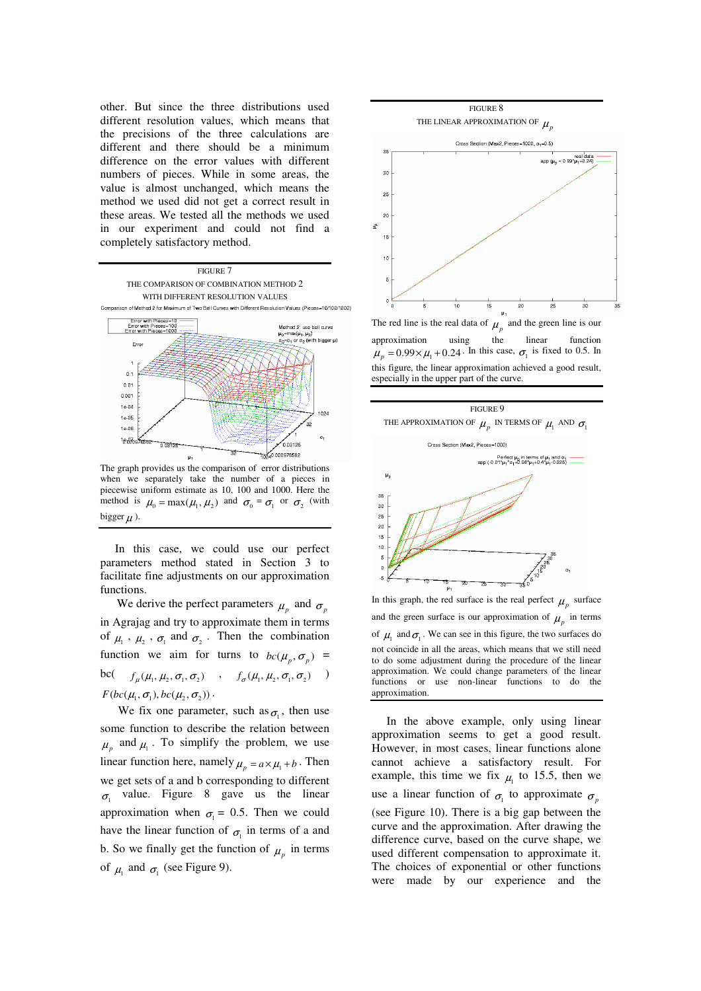other. But since the three distributions used different resolution values, which means that the precisions of the three calculations are different and there should be a minimum difference on the error values with different numbers of pieces. While in some areas, the value is almost unchanged, which means the method we used did not get a correct result in these areas. We tested all the methods we used in our experiment and could not find a completely satisfactory method.



when we separately take the number of a pieces in piecewise uniform estimate as 10, 100 and 1000. Here the method is  $\mu_0 = \max(\mu_1, \mu_2)$  and  $\sigma_0 = \sigma_1$  or  $\sigma_2$  (with bigger  $\mu$ ).

In this case, we could use our perfect parameters method stated in Section 3 to facilitate fine adjustments on our approximation functions.

We derive the perfect parameters  $\mu_p$  and  $\sigma_p$ in Agrajag and try to approximate them in terms of  $\mu_1$ ,  $\mu_2$ ,  $\sigma_1$  and  $\sigma_2$ . Then the combination function we aim for turns to  $bc(\mu_p, \sigma_p)$  = bc(  $f_\mu(\mu_1, \mu_2, \sigma_1, \sigma_2)$  ,  $f_\sigma(\mu_1, \mu_2, \sigma_1, \sigma_2)$  )  $F(bc(\mu_1, \sigma_1), bc(\mu_2, \sigma_2))$ .

We fix one parameter, such as  $\sigma_1$ , then use some function to describe the relation between  $\mu_{p}$  and  $\mu_{1}$ . To simplify the problem, we use linear function here, namely  $\mu_p = a \times \mu_1 + b$ . Then we get sets of a and b corresponding to different  $\sigma_1$  value. Figure 8 gave us the linear approximation when  $\sigma_1 = 0.5$ . Then we could have the linear function of  $\sigma_1$  in terms of a and b. So we finally get the function of  $\mu_p$  in terms of  $\mu_1$  and  $\sigma_1$  (see Figure 9).



approximation using the linear function  $\mu_p = 0.99 \times \mu_1 + 0.24$ . In this case,  $\sigma_1$  is fixed to 0.5. In this figure, the linear approximation achieved a good result, especially in the upper part of the curve.





In this graph, the red surface is the real perfect  $\mu_p$  surface and the green surface is our approximation of  $\mu_p$  in terms of  $\mu_1$  and  $\sigma_1$ . We can see in this figure, the two surfaces do not coincide in all the areas, which means that we still need to do some adjustment during the procedure of the linear approximation. We could change parameters of the linear functions or use non-linear functions to do the approximation.

In the above example, only using linear approximation seems to get a good result. However, in most cases, linear functions alone cannot achieve a satisfactory result. For example, this time we fix  $\mu_1$  to 15.5, then we use a linear function of  $\sigma_1$  to approximate  $\sigma_p$ (see Figure 10). There is a big gap between the curve and the approximation. After drawing the difference curve, based on the curve shape, we used different compensation to approximate it. The choices of exponential or other functions were made by our experience and the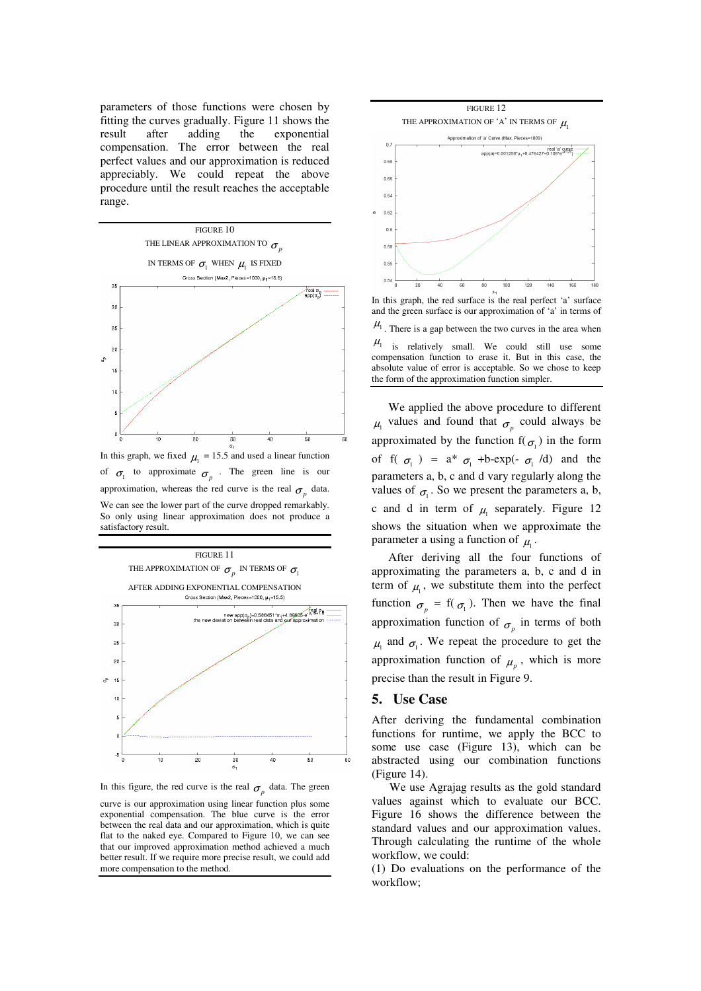parameters of those functions were chosen by fitting the curves gradually. Figure 11 shows the result after adding the exponential compensation. The error between the real perfect values and our approximation is reduced appreciably. We could repeat the above procedure until the result reaches the acceptable range.



of  $\sigma_1$  to approximate  $\sigma_p$ . The green line is our approximation, whereas the red curve is the real  $\sigma_p$  data. We can see the lower part of the curve dropped remarkably. So only using linear approximation does not produce a satisfactory result.



In this figure, the red curve is the real  $\sigma_p$  data. The green

curve is our approximation using linear function plus some exponential compensation. The blue curve is the error between the real data and our approximation, which is quite flat to the naked eye. Compared to Figure 10, we can see that our improved approximation method achieved a much better result. If we require more precise result, we could add more compensation to the method.



In this graph, the red surface is the real perfect 'a' surface and the green surface is our approximation of 'a' in terms of  $\mu_1$ . There is a gap between the two curves in the area when  $\mu_1$  is relatively small. We could still use some compensation function to erase it. But in this case, the absolute value of error is acceptable. So we chose to keep the form of the approximation function simpler.

We applied the above procedure to different  $\mu_1$  values and found that  $\sigma_p$  could always be approximated by the function  $f(\sigma_1)$  in the form of f( $\sigma_1$ ) =  $a^*$   $\sigma_1$  +b-exp(-  $\sigma_1$  /d) and the parameters a, b, c and d vary regularly along the values of  $\sigma_1$ . So we present the parameters a, b, c and d in term of  $\mu_1$  separately. Figure 12 shows the situation when we approximate the parameter a using a function of  $\mu_1$ .

After deriving all the four functions of approximating the parameters a, b, c and d in term of  $\mu_1$ , we substitute them into the perfect function  $\sigma_p = f(\sigma_1)$ . Then we have the final approximation function of  $\sigma_p$  in terms of both  $\mu_1$  and  $\sigma_1$ . We repeat the procedure to get the approximation function of  $\mu_p$ , which is more precise than the result in Figure 9.

#### **5. Use Case**

After deriving the fundamental combination functions for runtime, we apply the BCC to some use case (Figure 13), which can be abstracted using our combination functions (Figure 14).

We use Agrajag results as the gold standard values against which to evaluate our BCC. Figure 16 shows the difference between the standard values and our approximation values. Through calculating the runtime of the whole workflow, we could:

(1) Do evaluations on the performance of the workflow;